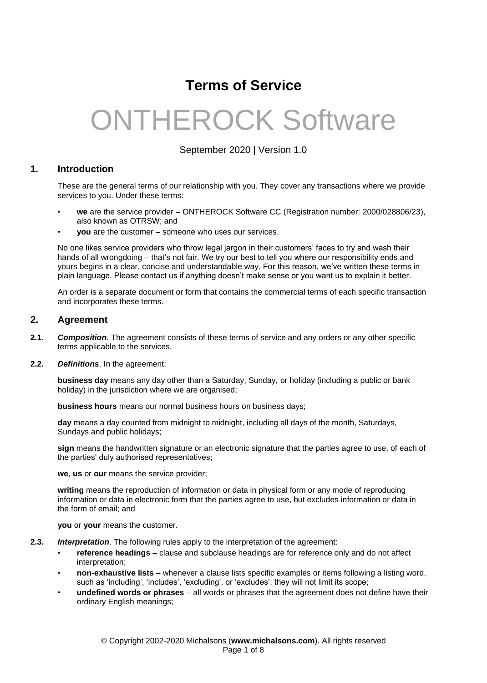# **Terms of Service**

# [ONTHEROCK Software](http://otrsw.co.za/)

September 2020 | Version 1.0

# **1. Introduction**

These are the general terms of our relationship with you. They cover any transactions where we provide services to you. Under these terms:

- **we** are the service provider ONTHEROCK Software CC (Registration number: 2000/028806/23), also known as OTRSW; and
- **you** are the customer someone who uses our services.

No one likes service providers who throw legal jargon in their customers' faces to try and wash their hands of all wrongdoing – that's not fair. We try our best to tell you where our responsibility ends and yours begins in a clear, concise and understandable way. For this reason, we've written these terms in plain language. Please contact us if anything doesn't make sense or you want us to explain it better.

An order is a separate document or form that contains the commercial terms of each specific transaction and incorporates these terms.

#### **2. Agreement**

- **2.1.** *Composition*. The agreement consists of these terms of service and any orders or any other specific terms applicable to the services.
- **2.2.** *Definitions*. In the agreement:

**business day** means any day other than a Saturday, Sunday, or holiday (including a public or bank holiday) in the jurisdiction where we are organised;

**business hours** means our normal business hours on business days;

**day** means a day counted from midnight to midnight, including all days of the month, Saturdays, Sundays and public holidays;

**sign** means the handwritten signature or an electronic signature that the parties agree to use, of each of the parties' duly authorised representatives;

**we**, **us** or **our** means the service provider;

**writing** means the reproduction of information or data in physical form or any mode of reproducing information or data in electronic form that the parties agree to use, but excludes information or data in the form of email; and

**you** or **your** means the customer.

- **2.3.** *Interpretation*. The following rules apply to the interpretation of the agreement:
	- **reference headings** clause and subclause headings are for reference only and do not affect interpretation;
	- **non-exhaustive lists** whenever a clause lists specific examples or items following a listing word, such as 'including', 'includes', 'excluding', or 'excludes', they will not limit its scope;
	- **undefined words or phrases** all words or phrases that the agreement does not define have their ordinary English meanings;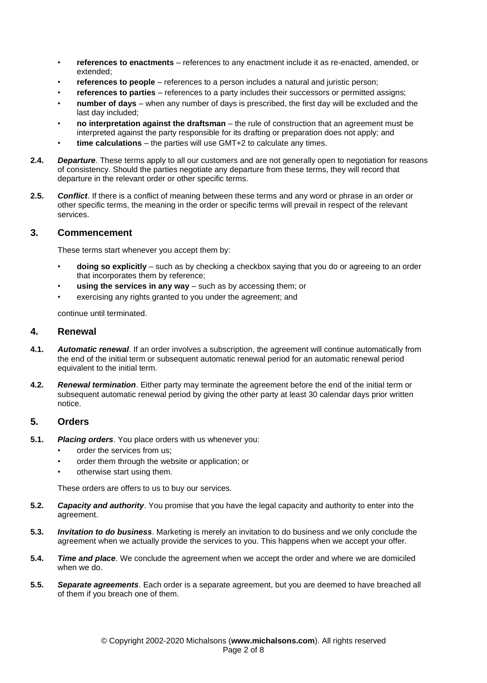- **references to enactments** references to any enactment include it as re-enacted, amended, or extended;
- **references to people** references to a person includes a natural and juristic person;
- **references to parties** references to a party includes their successors or permitted assigns;
- **number of days** when any number of days is prescribed, the first day will be excluded and the last day included;
- **no interpretation against the draftsman** the rule of construction that an agreement must be interpreted against the party responsible for its drafting or preparation does not apply; and
- **time calculations** the parties will use GMT+2 to calculate any times.
- **2.4.** *Departure*. These terms apply to all our customers and are not generally open to negotiation for reasons of consistency. Should the parties negotiate any departure from these terms, they will record that departure in the relevant order or other specific terms.
- **2.5.** *Conflict*. If there is a conflict of meaning between these terms and any word or phrase in an order or other specific terms, the meaning in the order or specific terms will prevail in respect of the relevant services.

#### **3. Commencement**

These terms start whenever you accept them by:

- **doing so explicitly** such as by checking a checkbox saying that you do or agreeing to an order that incorporates them by reference;
- **using the services in any way** such as by accessing them; or
- exercising any rights granted to you under the agreement; and

continue until terminated.

#### **4. Renewal**

- **4.1.** *Automatic renewal*. If an order involves a subscription, the agreement will continue automatically from the end of the initial term or subsequent automatic renewal period for an automatic renewal period equivalent to the initial term.
- **4.2.** *Renewal termination*. Either party may terminate the agreement before the end of the initial term or subsequent automatic renewal period by giving the other party at least 30 calendar days prior written notice.

# **5. Orders**

- **5.1.** *Placing orders*. You place orders with us whenever you:
	- order the services from us;
	- order them through the website or application; or
	- otherwise start using them.

These orders are offers to us to buy our services.

- **5.2.** *Capacity and authority*. You promise that you have the legal capacity and authority to enter into the agreement.
- **5.3.** *Invitation to do business*. Marketing is merely an invitation to do business and we only conclude the agreement when we actually provide the services to you. This happens when we accept your offer.
- **5.4.** *Time and place*. We conclude the agreement when we accept the order and where we are domiciled when we do.
- **5.5.** *Separate agreements*. Each order is a separate agreement, but you are deemed to have breached all of them if you breach one of them.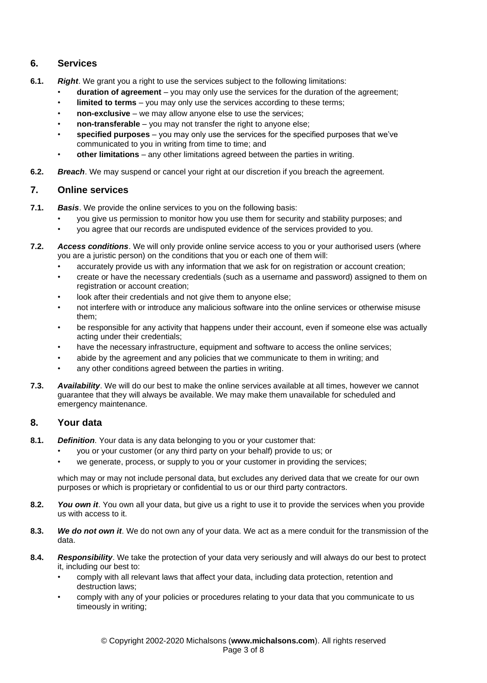# **6. Services**

- **6.1.** *Right*. We grant you a right to use the services subject to the following limitations:
	- **duration of agreement** you may only use the services for the duration of the agreement;
	- **limited to terms** you may only use the services according to these terms;
	- **non-exclusive** we may allow anyone else to use the services;
	- **non-transferable** you may not transfer the right to anyone else;
	- **specified purposes** you may only use the services for the specified purposes that we've communicated to you in writing from time to time; and
	- **other limitations** any other limitations agreed between the parties in writing.
- **6.2.** *Breach*. We may suspend or cancel your right at our discretion if you breach the agreement.

# **7. Online services**

- **7.1.** *Basis*. We provide the online services to you on the following basis:
	- you give us permission to monitor how you use them for security and stability purposes; and
	- you agree that our records are undisputed evidence of the services provided to you.
- **7.2.** *Access conditions*. We will only provide online service access to you or your authorised users (where you are a juristic person) on the conditions that you or each one of them will:
	- accurately provide us with any information that we ask for on registration or account creation;
	- create or have the necessary credentials (such as a username and password) assigned to them on registration or account creation;
	- look after their credentials and not give them to anyone else;
	- not interfere with or introduce any malicious software into the online services or otherwise misuse them;
	- be responsible for any activity that happens under their account, even if someone else was actually acting under their credentials;
	- have the necessary infrastructure, equipment and software to access the online services;
	- abide by the agreement and any policies that we communicate to them in writing; and
	- any other conditions agreed between the parties in writing.
- **7.3.** *Availability*. We will do our best to make the online services available at all times, however we cannot guarantee that they will always be available. We may make them unavailable for scheduled and emergency maintenance.

# **8. Your data**

- **8.1.** *Definition*. Your data is any data belonging to you or your customer that:
	- you or your customer (or any third party on your behalf) provide to us; or
	- we generate, process, or supply to you or your customer in providing the services;

which may or may not include personal data, but excludes any derived data that we create for our own purposes or which is proprietary or confidential to us or our third party contractors.

- **8.2.** *You own it*. You own all your data, but give us a right to use it to provide the services when you provide us with access to it.
- **8.3.** *We do not own it*. We do not own any of your data. We act as a mere conduit for the transmission of the data.
- **8.4.** *Responsibility*. We take the protection of your data very seriously and will always do our best to protect it, including our best to:
	- comply with all relevant laws that affect your data, including data protection, retention and destruction laws;
	- comply with any of your policies or procedures relating to your data that you communicate to us timeously in writing;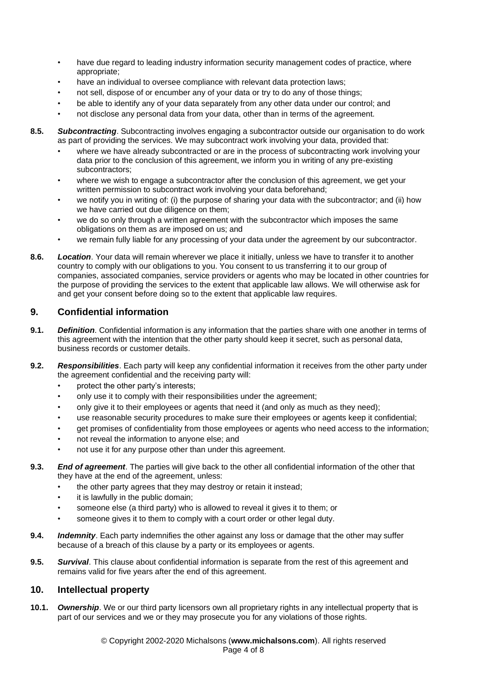- have due regard to leading industry information security management codes of practice, where appropriate;
- have an individual to oversee compliance with relevant data protection laws;
- not sell, dispose of or encumber any of your data or try to do any of those things;
- be able to identify any of your data separately from any other data under our control; and
- not disclose any personal data from your data, other than in terms of the agreement.
- **8.5.** *Subcontracting*. Subcontracting involves engaging a subcontractor outside our organisation to do work as part of providing the services. We may subcontract work involving your data, provided that:
	- where we have already subcontracted or are in the process of subcontracting work involving your data prior to the conclusion of this agreement, we inform you in writing of any pre-existing subcontractors;
	- where we wish to engage a subcontractor after the conclusion of this agreement, we get your written permission to subcontract work involving your data beforehand;
	- we notify you in writing of: (i) the purpose of sharing your data with the subcontractor; and (ii) how we have carried out due diligence on them;
	- we do so only through a written agreement with the subcontractor which imposes the same obligations on them as are imposed on us; and
	- we remain fully liable for any processing of your data under the agreement by our subcontractor.
- **8.6.** *Location*. Your data will remain wherever we place it initially, unless we have to transfer it to another country to comply with our obligations to you. You consent to us transferring it to our group of companies, associated companies, service providers or agents who may be located in other countries for the purpose of providing the services to the extent that applicable law allows. We will otherwise ask for and get your consent before doing so to the extent that applicable law requires.

# **9. Confidential information**

- **9.1.** *Definition*. Confidential information is any information that the parties share with one another in terms of this agreement with the intention that the other party should keep it secret, such as personal data, business records or customer details.
- **9.2.** *Responsibilities*. Each party will keep any confidential information it receives from the other party under the agreement confidential and the receiving party will:
	- protect the other party's interests;
	- only use it to comply with their responsibilities under the agreement;
	- only give it to their employees or agents that need it (and only as much as they need);
	- use reasonable security procedures to make sure their employees or agents keep it confidential;
	- get promises of confidentiality from those employees or agents who need access to the information;
	- not reveal the information to anyone else; and
	- not use it for any purpose other than under this agreement.
- **9.3.** *End of agreement*. The parties will give back to the other all confidential information of the other that they have at the end of the agreement, unless:
	- the other party agrees that they may destroy or retain it instead;
	- it is lawfully in the public domain;
	- someone else (a third party) who is allowed to reveal it gives it to them; or
	- someone gives it to them to comply with a court order or other legal duty.
- **9.4.** *Indemnity*. Each party indemnifies the other against any loss or damage that the other may suffer because of a breach of this clause by a party or its employees or agents.
- **9.5.** *Survival*. This clause about confidential information is separate from the rest of this agreement and remains valid for five years after the end of this agreement.

# **10. Intellectual property**

**10.1.** *Ownership*. We or our third party licensors own all proprietary rights in any intellectual property that is part of our services and we or they may prosecute you for any violations of those rights.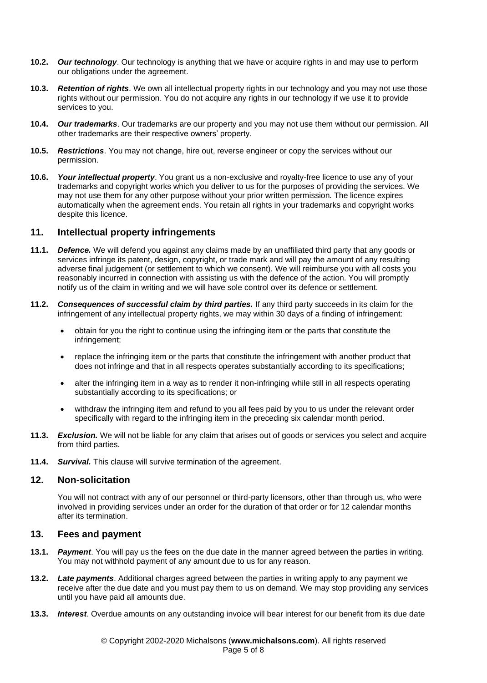- **10.2.** *Our technology*. Our technology is anything that we have or acquire rights in and may use to perform our obligations under the agreement.
- **10.3.** *Retention of rights*. We own all intellectual property rights in our technology and you may not use those rights without our permission. You do not acquire any rights in our technology if we use it to provide services to you.
- **10.4.** *Our trademarks*. Our trademarks are our property and you may not use them without our permission. All other trademarks are their respective owners' property.
- **10.5.** *Restrictions*. You may not change, hire out, reverse engineer or copy the services without our permission.
- **10.6.** *Your intellectual property*. You grant us a non-exclusive and royalty-free licence to use any of your trademarks and copyright works which you deliver to us for the purposes of providing the services. We may not use them for any other purpose without your prior written permission. The licence expires automatically when the agreement ends. You retain all rights in your trademarks and copyright works despite this licence.

#### **11. Intellectual property infringements**

- **11.1.** *Defence.* We will defend you against any claims made by an unaffiliated third party that any goods or services infringe its patent, design, copyright, or trade mark and will pay the amount of any resulting adverse final judgement (or settlement to which we consent). We will reimburse you with all costs you reasonably incurred in connection with assisting us with the defence of the action. You will promptly notify us of the claim in writing and we will have sole control over its defence or settlement.
- **11.2.** *Consequences of successful claim by third parties.* If any third party succeeds in its claim for the infringement of any intellectual property rights, we may within 30 days of a finding of infringement:
	- obtain for you the right to continue using the infringing item or the parts that constitute the infringement;
	- replace the infringing item or the parts that constitute the infringement with another product that does not infringe and that in all respects operates substantially according to its specifications;
	- alter the infringing item in a way as to render it non-infringing while still in all respects operating substantially according to its specifications; or
	- withdraw the infringing item and refund to you all fees paid by you to us under the relevant order specifically with regard to the infringing item in the preceding six calendar month period.
- **11.3.** *Exclusion.* We will not be liable for any claim that arises out of goods or services you select and acquire from third parties.
- **11.4.** *Survival.* This clause will survive termination of the agreement.

#### **12. Non-solicitation**

You will not contract with any of our personnel or third-party licensors, other than through us, who were involved in providing services under an order for the duration of that order or for 12 calendar months after its termination.

#### **13. Fees and payment**

- **13.1.** *Payment*. You will pay us the fees on the due date in the manner agreed between the parties in writing. You may not withhold payment of any amount due to us for any reason.
- **13.2.** *Late payments*. Additional charges agreed between the parties in writing apply to any payment we receive after the due date and you must pay them to us on demand. We may stop providing any services until you have paid all amounts due.
- **13.3.** *Interest*. Overdue amounts on any outstanding invoice will bear interest for our benefit from its due date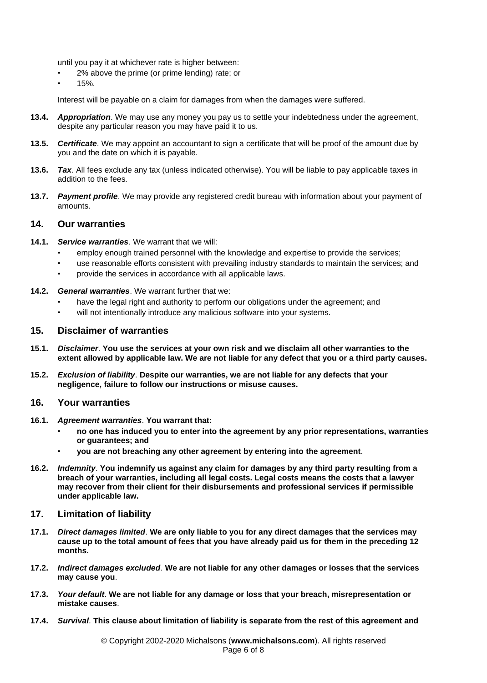until you pay it at whichever rate is higher between:

- 2% above the prime (or prime lending) rate; or
- 15%.

Interest will be payable on a claim for damages from when the damages were suffered.

- **13.4.** *Appropriation*. We may use any money you pay us to settle your indebtedness under the agreement, despite any particular reason you may have paid it to us.
- **13.5.** *Certificate*. We may appoint an accountant to sign a certificate that will be proof of the amount due by you and the date on which it is payable.
- **13.6.** *Tax*. All fees exclude any tax (unless indicated otherwise). You will be liable to pay applicable taxes in addition to the fees.
- **13.7.** *Payment profile*. We may provide any registered credit bureau with information about your payment of amounts.

#### **14. Our warranties**

- **14.1.** *Service warranties*. We warrant that we will:
	- employ enough trained personnel with the knowledge and expertise to provide the services;
	- use reasonable efforts consistent with prevailing industry standards to maintain the services; and
	- provide the services in accordance with all applicable laws.
- **14.2.** *General warranties*. We warrant further that we:
	- have the legal right and authority to perform our obligations under the agreement; and
	- will not intentionally introduce any malicious software into your systems.

#### **15. Disclaimer of warranties**

- **15.1.** *Disclaimer*. **You use the services at your own risk and we disclaim all other warranties to the extent allowed by applicable law. We are not liable for any defect that you or a third party causes.**
- **15.2.** *Exclusion of liability*. **Despite our warranties, we are not liable for any defects that your negligence, failure to follow our instructions or misuse causes.**

#### **16. Your warranties**

- **16.1.** *Agreement warranties*. **You warrant that:**
	- **no one has induced you to enter into the agreement by any prior representations, warranties or guarantees; and**
	- **you are not breaching any other agreement by entering into the agreement**.
- **16.2.** *Indemnity*. **You indemnify us against any claim for damages by any third party resulting from a breach of your warranties, including all legal costs. Legal costs means the costs that a lawyer may recover from their client for their disbursements and professional services if permissible under applicable law.**

#### **17. Limitation of liability**

- **17.1.** *Direct damages limited*. **We are only liable to you for any direct damages that the services may cause up to the total amount of fees that you have already paid us for them in the preceding 12 months.**
- **17.2.** *Indirect damages excluded*. **We are not liable for any other damages or losses that the services may cause you**.
- **17.3.** *Your default*. **We are not liable for any damage or loss that your breach, misrepresentation or mistake causes**.
- **17.4.** *Survival*. **This clause about limitation of liability is separate from the rest of this agreement and**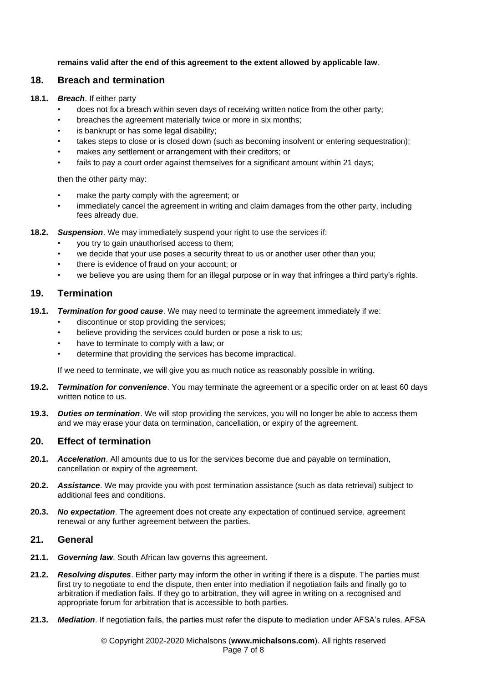**remains valid after the end of this agreement to the extent allowed by applicable law**.

# **18. Breach and termination**

#### **18.1.** *Breach*. If either party

- does not fix a breach within seven days of receiving written notice from the other party;
- breaches the agreement materially twice or more in six months;
- is bankrupt or has some legal disability;
- takes steps to close or is closed down (such as becoming insolvent or entering sequestration);
- makes any settlement or arrangement with their creditors; or
- fails to pay a court order against themselves for a significant amount within 21 days;

then the other party may:

- make the party comply with the agreement; or
- immediately cancel the agreement in writing and claim damages from the other party, including fees already due.
- **18.2.** *Suspension*. We may immediately suspend your right to use the services if:
	- you try to gain unauthorised access to them;
	- we decide that your use poses a security threat to us or another user other than you;
	- there is evidence of fraud on your account; or
	- we believe you are using them for an illegal purpose or in way that infringes a third party's rights.

# **19. Termination**

- **19.1.** *Termination for good cause*. We may need to terminate the agreement immediately if we:
	- discontinue or stop providing the services;
	- believe providing the services could burden or pose a risk to us;
	- have to terminate to comply with a law; or
	- determine that providing the services has become impractical.

If we need to terminate, we will give you as much notice as reasonably possible in writing.

- **19.2.** *Termination for convenience*. You may terminate the agreement or a specific order on at least 60 days written notice to us.
- **19.3.** *Duties on termination*. We will stop providing the services, you will no longer be able to access them and we may erase your data on termination, cancellation, or expiry of the agreement.

# **20. Effect of termination**

- **20.1.** *Acceleration*. All amounts due to us for the services become due and payable on termination, cancellation or expiry of the agreement.
- **20.2.** *Assistance*. We may provide you with post termination assistance (such as data retrieval) subject to additional fees and conditions.
- **20.3.** *No expectation*. The agreement does not create any expectation of continued service, agreement renewal or any further agreement between the parties.

# **21. General**

- **21.1.** *Governing law*. South African law governs this agreement.
- **21.2.** *Resolving disputes*. Either party may inform the other in writing if there is a dispute. The parties must first try to negotiate to end the dispute, then enter into mediation if negotiation fails and finally go to arbitration if mediation fails. If they go to arbitration, they will agree in writing on a recognised and appropriate forum for arbitration that is accessible to both parties.
- **21.3.** *Mediation*. If negotiation fails, the parties must refer the dispute to mediation under AFSA's rules. AFSA